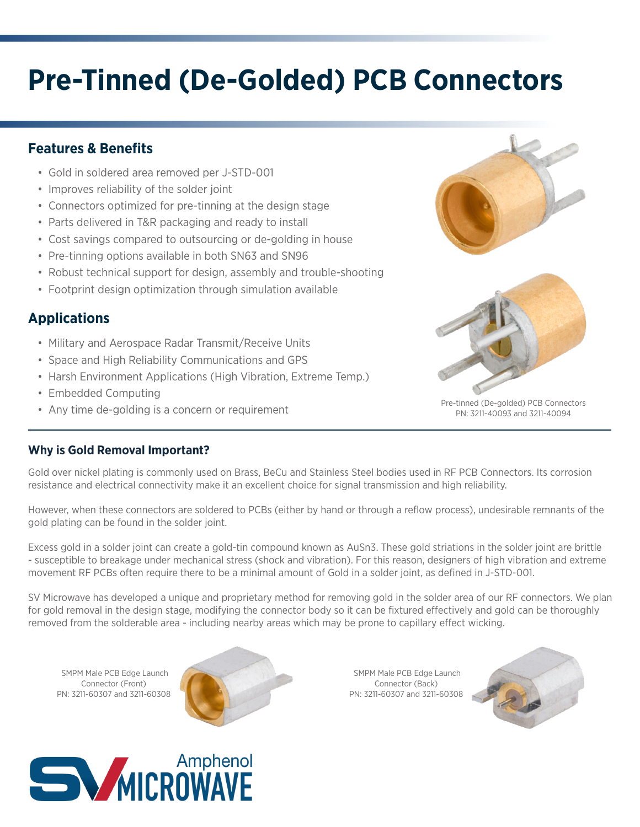# **Pre-Tinned (De-Golded) PCB Connectors**

## **Features & Benefits**

- Gold in soldered area removed per J-STD-001
- Improves reliability of the solder joint
- Connectors optimized for pre-tinning at the design stage
- Parts delivered in T&R packaging and ready to install
- Cost savings compared to outsourcing or de-golding in house
- Pre-tinning options available in both SN63 and SN96
- Robust technical support for design, assembly and trouble-shooting
- Footprint design optimization through simulation available

## **Applications**

- Military and Aerospace Radar Transmit/Receive Units
- Space and High Reliability Communications and GPS
- Harsh Environment Applications (High Vibration, Extreme Temp.)
- Embedded Computing
- Any time de-golding is a concern or requirement





Pre-tinned (De-golded) PCB Connectors PN: 3211-40093 and 3211-40094

#### **Why is Gold Removal Important?**

Gold over nickel plating is commonly used on Brass, BeCu and Stainless Steel bodies used in RF PCB Connectors. Its corrosion resistance and electrical connectivity make it an excellent choice for signal transmission and high reliability.

However, when these connectors are soldered to PCBs (either by hand or through a reflow process), undesirable remnants of the gold plating can be found in the solder joint.

Excess gold in a solder joint can create a gold-tin compound known as AuSn3. These gold striations in the solder joint are brittle - susceptible to breakage under mechanical stress (shock and vibration). For this reason, designers of high vibration and extreme movement RF PCBs often require there to be a minimal amount of Gold in a solder joint, as defined in J-STD-001.

SV Microwave has developed a unique and proprietary method for removing gold in the solder area of our RF connectors. We plan for gold removal in the design stage, modifying the connector body so it can be fixtured effectively and gold can be thoroughly removed from the solderable area - including nearby areas which may be prone to capillary effect wicking.

 SMPM Male PCB Edge Launch Connector (Front) PN: 3211-60307 and 3211-60308



 SMPM Male PCB Edge Launch Connector (Back) PN: 3211-60307 and 3211-60308